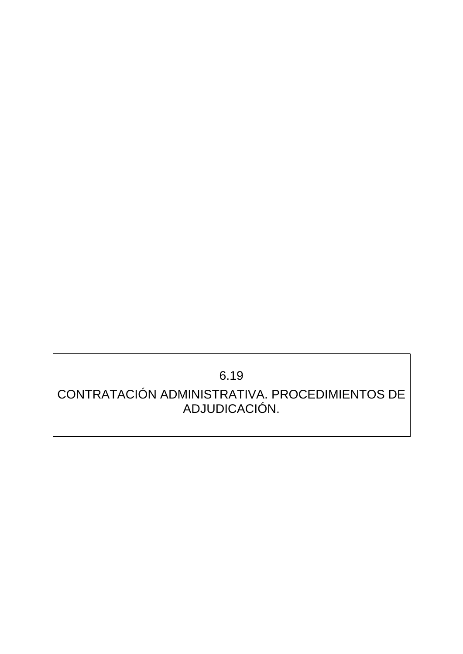# 6.19

## CONTRATACIÓN ADMINISTRATIVA. PROCEDIMIENTOS DE ADJUDICACIÓN.